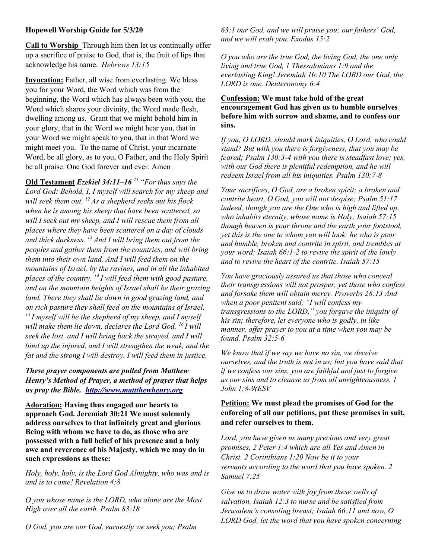### Hopewell Worship Guide for 5/3/20

Call to Worship Through him then let us continually offer up a sacrifice of praise to God, that is, the fruit of lips that acknowledge his name. Hebrews 13:15

Invocation: Father, all wise from everlasting. We bless you for your Word, the Word which was from the beginning, the Word which has always been with you, the Word which shares your divinity, the Word made flesh, dwelling among us. Grant that we might behold him in your glory, that in the Word we might hear you, that in your Word we might speak to you, that in that Word we might meet you. To the name of Christ, your incarnate Word, be all glory, as to you, O Father, and the Holy Spirit be all praise. One God forever and ever. Amen

Old Testament Ezekiel 34:11–16<sup> $11$ </sup> "For thus says the Lord God: Behold, I, I myself will search for my sheep and will seek them out.  $^{12}$  As a shepherd seeks out his flock when he is among his sheep that have been scattered, so will I seek out my sheep, and I will rescue them from all places where they have been scattered on a day of clouds and thick darkness.  $^{13}$  And I will bring them out from the peoples and gather them from the countries, and will bring them into their own land. And I will feed them on the mountains of Israel, by the ravines, and in all the inhabited places of the country.  $^{14}$  I will feed them with good pasture, and on the mountain heights of Israel shall be their grazing land. There they shall lie down in good grazing land, and on rich pasture they shall feed on the mountains of Israel.  $15I$  myself will be the shepherd of my sheep, and I myself will make them lie down, declares the Lord God.  $^{16}I$  will seek the lost, and I will bring back the strayed, and I will bind up the injured, and I will strengthen the weak, and the fat and the strong I will destroy. I will feed them in justice.

# These prayer components are pulled from Matthew Henry's Method of Prayer, a method of prayer that helps us pray the Bible. http://www.mattthewhenry.org

Adoration: Having thus engaged our hearts to approach God. Jeremiah 30:21 We must solemnly address ourselves to that infinitely great and glorious Being with whom we have to do, as those who are possessed with a full belief of his presence and a holy awe and reverence of his Majesty, which we may do in such expressions as these:

Holy, holy, holy, is the Lord God Almighty, who was and is and is to come! Revelation 4:8

O you whose name is the LORD, who alone are the Most High over all the earth. Psalm 83:18

O God, you are our God, earnestly we seek you; Psalm

63:1 our God, and we will praise you; our fathers' God, and we will exalt you. Exodus 15:2

O you who are the true God, the living God, the one only living and true God, 1 Thessalonians 1:9 and the everlasting King! Jeremiah 10:10 The LORD our God, the LORD is one. Deuteronomy 6:4

#### Confession: We must take hold of the great encouragement God has given us to humble ourselves before him with sorrow and shame, and to confess our sins.

If you, O LORD, should mark iniquities, O Lord, who could stand? But with you there is forgiveness, that you may be feared; Psalm 130:3-4 with you there is steadfast love; yes, with our God there is plentiful redemption, and he will redeem Israel from all his iniquities. Psalm 130:7-8

Your sacrifices, O God, are a broken spirit; a broken and contrite heart, O God, you will not despise; Psalm 51:17 indeed, though you are the One who is high and lifted up, who inhabits eternity, whose name is Holy; Isaiah 57:15 though heaven is your throne and the earth your footstool, yet this is the one to whom you will look: he who is poor and humble, broken and contrite in spirit, and trembles at your word; Isaiah 66:1-2 to revive the spirit of the lowly and to revive the heart of the contrite. Isaiah 57:15

You have graciously assured us that those who conceal their transgressions will not prosper, yet those who confess and forsake them will obtain mercy. Proverbs 28:13 And when a poor penitent said, "I will confess my transgressions to the LORD," you forgave the iniquity of his sin; therefore, let everyone who is godly, in like manner, offer prayer to you at a time when you may be found. Psalm 32:5-6

We know that if we say we have no sin, we deceive ourselves, and the truth is not in us; but you have said that if we confess our sins, you are faithful and just to forgive us our sins and to cleanse us from all unrighteousness. 1 John 1:8-9(ESV

### Petition: We must plead the promises of God for the enforcing of all our petitions, put these promises in suit, and refer ourselves to them.

Lord, you have given us many precious and very great promises, 2 Peter 1:4 which are all Yes and Amen in Christ. 2 Corinthians 1:20 Now be it to your servants according to the word that you have spoken. 2 Samuel 7:25

Give us to draw water with joy from these wells of salvation, Isaiah 12:3 to nurse and be satisfied from Jerusalem's consoling breast; Isaiah 66:11 and now, O LORD God, let the word that you have spoken concerning